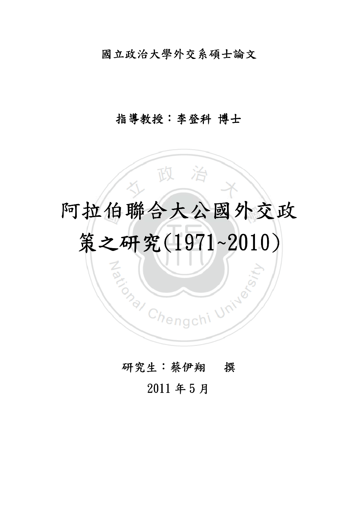### 國立政治大學外交系碩士論文

### 指導教授:李登科博士

# 國 多 大 ト 八 田  $\mathbb{R}^n$ 策之研究(1971~2010) 阿拉伯聯合大公國外交政

**PATION CHENGLER CHENGLER** 

gchi Unive

## 研究生:蔡伊翔 撰

 $\overline{a}$ 

# 2011 年 5 月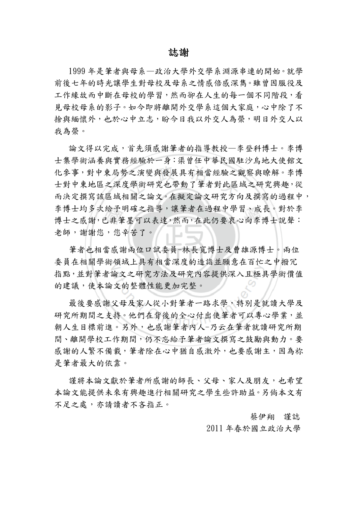#### 誌謝

1999 年是筆者與母系—政治大學外交學系淵源串連的開始。就學 前後七年的時光讓學生對母校及母系之情感倍感深雋。雖曾因服役及 工作緣故而中斷在母校的學習,然而卻在人生的每一個不同階段,看 見母校母系的影子。如今即將離開外交學系這個大家庭,心中除了不 捨與緬懷外,也於心中立志,盼今日我以外交人為榮,明日外交人以 我為榮。

博士之感謝,已非筆墨可以表達,然而,在此仍要衷心向李博士說聲:<br>老師,謝謝您,您辛苦了。<br>筆者也相當感謝兩位口試委員-林長寬博士及曹雄源博士。兩位 士對中東地區之深度學術研究也帶動了筆者對此區域之研究興趣,從而決定撰寫該區域相關之論文。在擬定論文研究方向及撰寫的過程中 論文得以完成,首先須感謝筆者的指導教授—李登科博士。李博 士集學術涵養與實務經驗於一身:渠曾任中華民國駐沙烏地大使館文 化參事,對中東局勢之演變與發展具有相當經驗之觀察與瞭解。李博 而決定撰寫該區域相關之論文。在擬定論文研究方向及撰寫的過程中, 李博士均多次給予明確之指導,讓筆者在過程中學習、成長。對於李 老師,謝謝您,您辛苦了。

筆者也相當感謝兩位口試委員-林長寬博士及曹雄源博士。兩位  $\sum_{\lambda}$ 委員在相關學術領域上具有相當深度的造詣並願意在百忙之中撥冗 指點,並對筆者論文之研究方法及研究內容提供深入且極具學術價值 的建議,使本論文的整體性能更加完整。

命文之研究方法及研究內容提供深入且<br>文的整體性能更加完整。<br><br>父母及家人從小對筆者一路求學,特別 最後要感謝父母及家人從小對筆者一路求學,特別是就讀大學及 研究所期間之支持。他們在背後的全心付出使筆者可以專心學業,並 朝人生目標前進。另外,也感謝筆者內人-乃云在筆者就讀研究所期 間、離開學校工作期間,仍不忘給予筆者論文撰寫之鼓勵與動力。要 感謝的人繁不備載,筆者除在心中猶自感激外,也要感謝主,因為祢 是筆者最大的依靠。

謹將本論文獻於筆者所感謝的師長、父母、家人及朋友,也希望 本論文能提供未來有興趣進行相關研究之學生些許助益。另倘本文有 不足之處,亦請讀者不吝指正。

蔡伊翔 謹誌

2011 年春於國立政治大學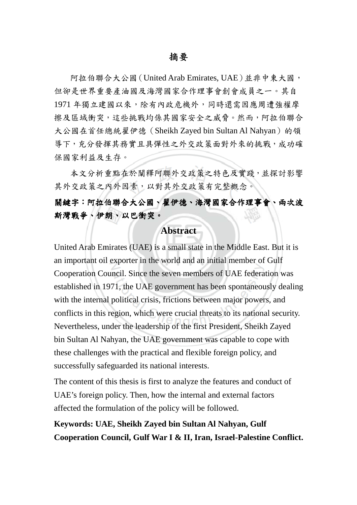阿拉伯聯合大公國(United Arab Emirates, UAE)並非中東大國, 但卻是世界重要產油國及海灣國家合作理事會創會成員之一。其自 1971 年獨立建國以來,除有內政危機外,同時還需因應周遭強權摩 擦及區域衝突,這些挑戰均係其國家安全之威脅。然而,阿拉伯聯合 大公國在首任總統翟伊德 (Sheikh Zayed bin Sultan Al Nahyan)的領 導下,充分發揮其務實且具彈性之外交政策面對外來的挑戰,成功確 保國家利益及生存。

因素,以對其外交政策有完整<br>**今大公國、翟伊德、海灣國家** 本文分析重點在於闡釋阿聯外交政策之特色及實踐,並探討影響 其外交政策之內外因素,以對其外交政策有完整概念。

學 關鍵字:阿拉伯聯合大公國、翟伊德、海灣國家合作理事會、兩次波 斯灣戰爭、伊朗、以巴衝突。

#### **Abstract**

明、<br>nirate<br>Lexpe United Arab Emirates (UAE) is a small state in the Middle East. But it is Cooperation Council. Since the seven members of UAE federation was<br>established in 1971, the UAE government has been spontaneously deali<br>with the internal political crisis, frictions between major powers, and<br>conflicts in t an important oil exporter in the world and an initial member of Gulf established in 1971, the UAE government has been spontaneously dealing with the internal political crisis, frictions between major powers, and conflicts in this region, which were crucial threats to its national security. Nevertheless, under the leadership of the first President, Sheikh Zayed bin Sultan Al Nahyan, the UAE government was capable to cope with these challenges with the practical and flexible foreign policy, and successfully safeguarded its national interests.

The content of this thesis is first to analyze the features and conduct of UAE's foreign policy. Then, how the internal and external factors affected the formulation of the policy will be followed.

**Keywords: UAE, Sheikh Zayed bin Sultan Al Nahyan, Gulf Cooperation Council, Gulf War I & II, Iran, Israel-Palestine Conflict.**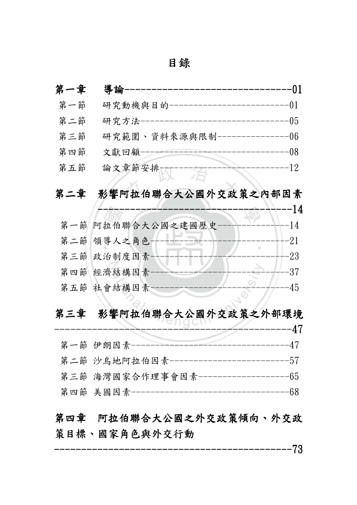| 錄 |
|---|
|---|

| 第一章 | 導論                                           | 01         |
|-----|----------------------------------------------|------------|
| 第一節 | 研究動機與目的--------------                        | 01         |
| 第二節 | 研究方法                                         | 05         |
| 第三節 | 研究範圍、資料來源與限制--                               | 06         |
| 第四節 | 文獻回顧-                                        | 08         |
| 第五節 | 論文章節安排---                                    | -12        |
| 第二章 | 影響阿拉伯聯合大公國外交政策之內部因素                          |            |
|     |                                              | --14       |
| 第一節 | 阿拉伯聯合大公國之建國歷史-                               | -14        |
|     | 第二節 領導人之角色-                                  | $^{++-21}$ |
|     | 第三節 政治制度因素-                                  | -23        |
|     | 第四節 經濟結構因素                                   | 37         |
|     | 第五節 社會結構因素                                   | 45         |
|     |                                              |            |
|     | 第三章 影響阿拉伯聯合大公國外交政策之外部環境                      |            |
|     |                                              | 47         |
|     | 第一節 伊朗因素                                     | 47         |
|     | 第二節 沙烏地阿拉伯因素--------------------------57     |            |
|     | 第三節 海灣國家合作理事會因素--------------------65        |            |
|     | 第四節 美國因素----------------------------------68 |            |
|     | 第四章 阿拉伯聯合大公國之外交政策傾向、外交政                      |            |
|     | 策目標、國家角色與外交行動                                |            |

-------------------------------------------- ----------------------------------------------------------------73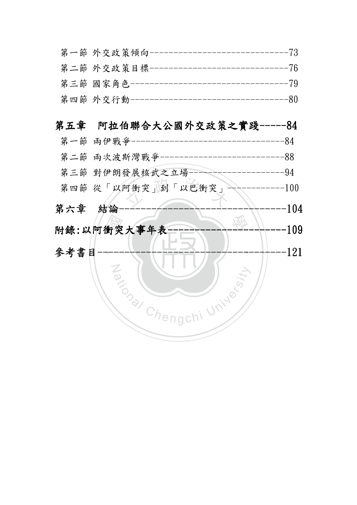| 第一節 外交政策傾向------------------------------73    |  |
|-----------------------------------------------|--|
| 第二節 外交政策目標-------------------------------76   |  |
| 第三節 國家角色----------------------------------79  |  |
| 第四節 外交行動-----------------------------------80 |  |

### 第五章 阿拉伯聯合大公國外交政策之實踐 ------84

- 第一節 兩伊戰爭--------------------------------84 第二節 兩次波斯灣戰爭--------------------------88
- 第三節 對伊朗發展核武之立場--------------------94
- 可衝突」到「以巴衝突」 第四節 從「以阿衝突」到「以巴衝突」------------100
- 第六章結論------------------------------- --------------------------------------------------------------104
- 動<br>----趣 附錄:以阿衝突大事年表 以阿衝突大事年表 以阿衝突大事年表---------------------- ---------------------- ----------------------109
- ‧.<br>— Za (NIVERSITY) 參考書目----------------------------------- -----------------------------------121